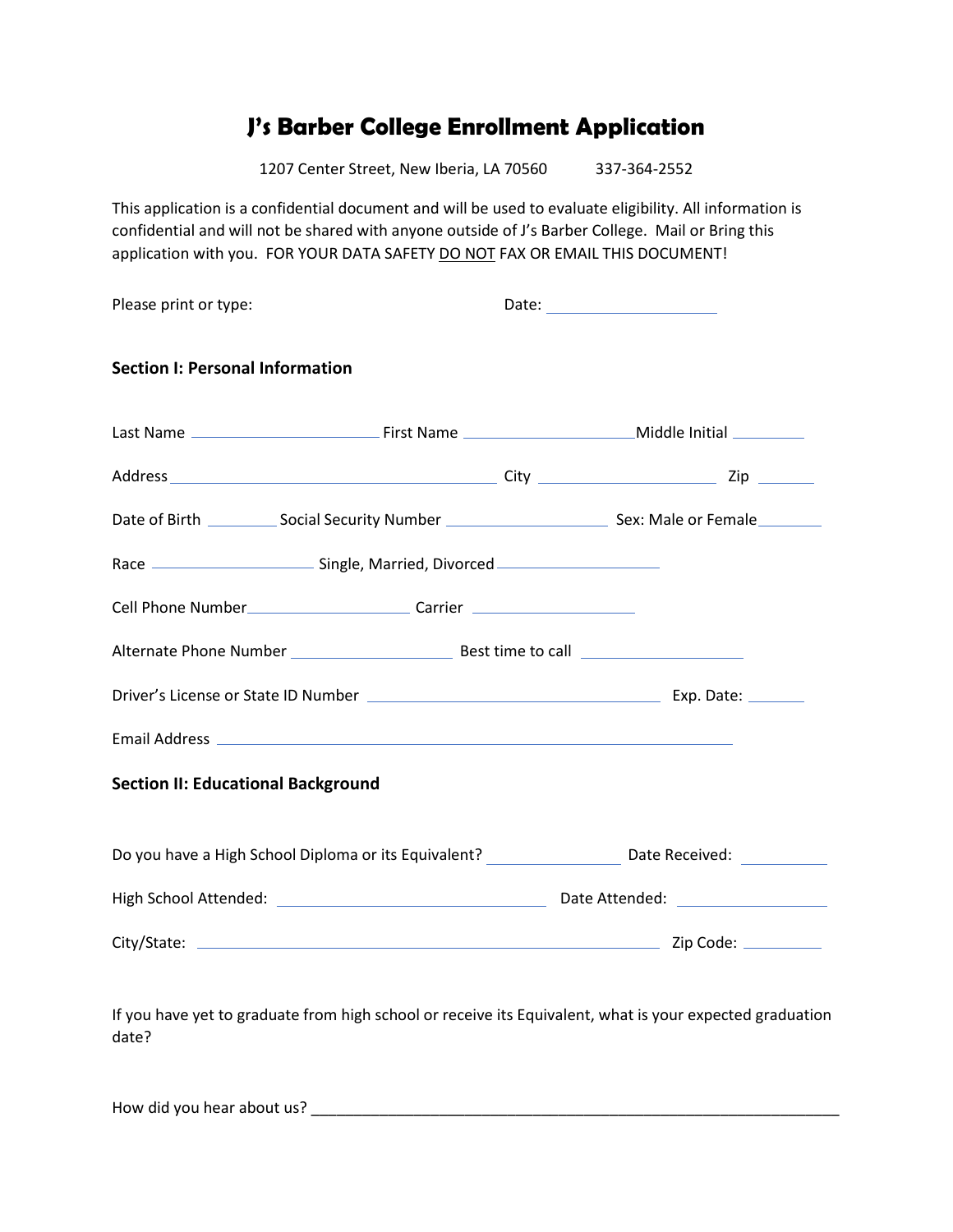## **J's Barber College Enrollment Application**

1207 Center Street, New Iberia, LA 70560 337-364-2552

This application is a confidential document and will be used to evaluate eligibility. All information is confidential and will not be shared with anyone outside of J's Barber College. Mail or Bring this application with you. FOR YOUR DATA SAFETY DO NOT FAX OR EMAIL THIS DOCUMENT!

| <b>Section I: Personal Information</b>    |                                                                                                                 |
|-------------------------------------------|-----------------------------------------------------------------------------------------------------------------|
|                                           |                                                                                                                 |
|                                           |                                                                                                                 |
|                                           | Date of Birth ______________ Social Security Number ______________________________ Sex: Male or Female ________ |
|                                           |                                                                                                                 |
|                                           |                                                                                                                 |
|                                           |                                                                                                                 |
|                                           |                                                                                                                 |
|                                           |                                                                                                                 |
| <b>Section II: Educational Background</b> |                                                                                                                 |
|                                           | Do you have a High School Diploma or its Equivalent? Do you have a High School Diploma or its Equivalent?       |
|                                           |                                                                                                                 |
|                                           |                                                                                                                 |
|                                           |                                                                                                                 |

How did you hear about us? \_\_\_\_\_\_\_\_\_\_\_\_\_\_\_\_\_\_\_\_\_\_\_\_\_\_\_\_\_\_\_\_\_\_\_\_\_\_\_\_\_\_\_\_\_\_\_\_\_\_\_\_\_\_\_\_\_\_\_\_\_\_

date?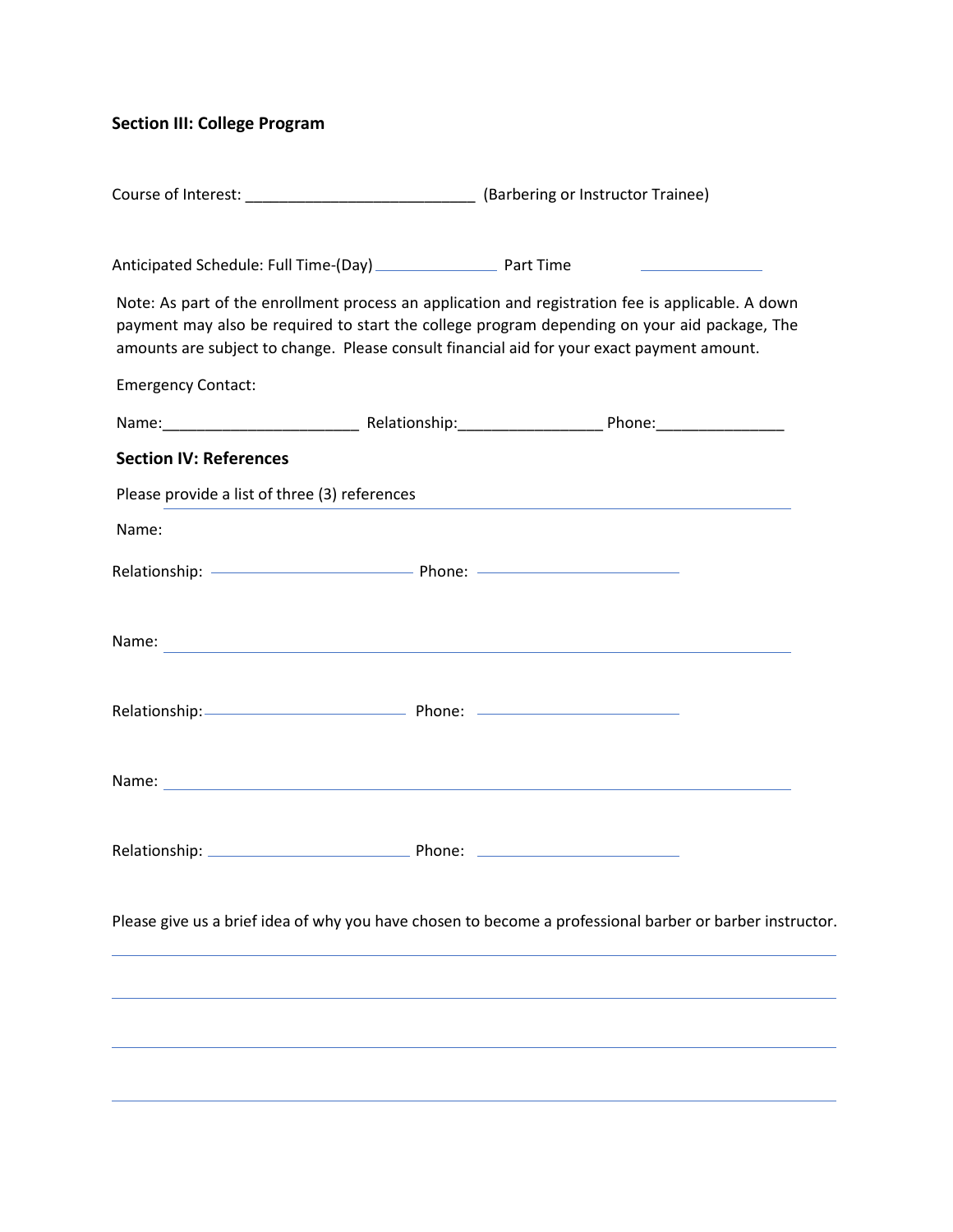## **Section III: College Program**

|                                               | Course of Interest: ___________________________________(Barbering or Instructor Trainee)                        |                                                                                                                                                                                                                                                                                                 |
|-----------------------------------------------|-----------------------------------------------------------------------------------------------------------------|-------------------------------------------------------------------------------------------------------------------------------------------------------------------------------------------------------------------------------------------------------------------------------------------------|
|                                               |                                                                                                                 | <u> 1989 - Jan Stein Stein Stein Stein Stein Stein Stein Stein Stein Stein Stein Stein Stein Stein Stein Stein S</u>                                                                                                                                                                            |
|                                               |                                                                                                                 | Note: As part of the enrollment process an application and registration fee is applicable. A down<br>payment may also be required to start the college program depending on your aid package, The<br>amounts are subject to change. Please consult financial aid for your exact payment amount. |
| <b>Emergency Contact:</b>                     |                                                                                                                 |                                                                                                                                                                                                                                                                                                 |
|                                               |                                                                                                                 |                                                                                                                                                                                                                                                                                                 |
| <b>Section IV: References</b>                 |                                                                                                                 |                                                                                                                                                                                                                                                                                                 |
| Please provide a list of three (3) references |                                                                                                                 |                                                                                                                                                                                                                                                                                                 |
| Name:                                         |                                                                                                                 |                                                                                                                                                                                                                                                                                                 |
|                                               |                                                                                                                 |                                                                                                                                                                                                                                                                                                 |
|                                               |                                                                                                                 |                                                                                                                                                                                                                                                                                                 |
|                                               | Relationship: 2000 Contract Contract Contract Contract Contract Contract Contract Contract Contract Contract Co |                                                                                                                                                                                                                                                                                                 |
|                                               |                                                                                                                 |                                                                                                                                                                                                                                                                                                 |
|                                               |                                                                                                                 |                                                                                                                                                                                                                                                                                                 |
|                                               |                                                                                                                 | Please give us a brief idea of why you have chosen to become a professional barber or barber instructor.                                                                                                                                                                                        |
|                                               |                                                                                                                 |                                                                                                                                                                                                                                                                                                 |
|                                               |                                                                                                                 |                                                                                                                                                                                                                                                                                                 |
|                                               |                                                                                                                 |                                                                                                                                                                                                                                                                                                 |
|                                               |                                                                                                                 |                                                                                                                                                                                                                                                                                                 |